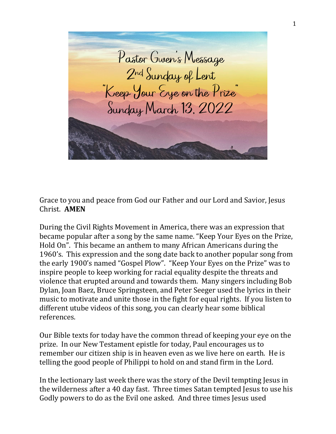Pastor Gwen's Message<br>2nd Sunday of Lent<br>"Keep Your Eye on the Prize"<br>Sunday March 13, 2022

Grace to you and peace from God our Father and our Lord and Savior, Jesus Christ. **AMEN**

During the Civil Rights Movement in America, there was an expression that became popular after a song by the same name. "Keep Your Eyes on the Prize, Hold On". This became an anthem to many African Americans during the 1960's. This expression and the song date back to another popular song from the early 1900's named "Gospel Plow". "Keep Your Eyes on the Prize" was to inspire people to keep working for racial equality despite the threats and violence that erupted around and towards them. Many singers including Bob Dylan, Joan Baez, Bruce Springsteen, and Peter Seeger used the lyrics in their music to motivate and unite those in the fight for equal rights. If you listen to different utube videos of this song, you can clearly hear some biblical references.

Our Bible texts for today have the common thread of keeping your eye on the prize. In our New Testament epistle for today, Paul encourages us to remember our citizen ship is in heaven even as we live here on earth. He is telling the good people of Philippi to hold on and stand firm in the Lord.

In the lectionary last week there was the story of the Devil tempting Jesus in the wilderness after a 40 day fast. Three times Satan tempted Jesus to use his Godly powers to do as the Evil one asked. And three times Jesus used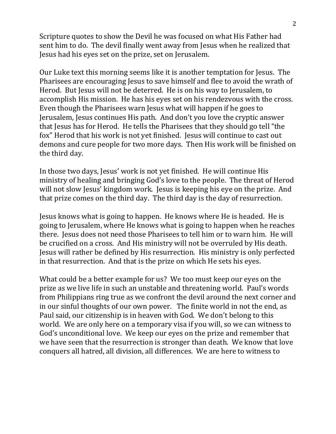Scripture quotes to show the Devil he was focused on what His Father had sent him to do. The devil finally went away from Jesus when he realized that Jesus had his eyes set on the prize, set on Jerusalem.

Our Luke text this morning seems like it is another temptation for Jesus. The Pharisees are encouraging Jesus to save himself and flee to avoid the wrath of Herod. But Jesus will not be deterred. He is on his way to Jerusalem, to accomplish His mission. He has his eyes set on his rendezvous with the cross. Even though the Pharisees warn Jesus what will happen if he goes to Jerusalem, Jesus continues His path. And don't you love the cryptic answer that Jesus has for Herod. He tells the Pharisees that they should go tell "the fox" Herod that his work is not yet finished. Jesus will continue to cast out demons and cure people for two more days. Then His work will be finished on the third day.

In those two days, Jesus' work is not yet finished. He will continue His ministry of healing and bringing God's love to the people. The threat of Herod will not slow Jesus' kingdom work. Jesus is keeping his eye on the prize. And that prize comes on the third day. The third day is the day of resurrection.

Jesus knows what is going to happen. He knows where He is headed. He is going to Jerusalem, where He knows what is going to happen when he reaches there. Jesus does not need those Pharisees to tell him or to warn him. He will be crucified on a cross. And His ministry will not be overruled by His death. Jesus will rather be defined by His resurrection. His ministry is only perfected in that resurrection. And that is the prize on which He sets his eyes.

What could be a better example for us? We too must keep our eyes on the prize as we live life in such an unstable and threatening world. Paul's words from Philippians ring true as we confront the devil around the next corner and in our sinful thoughts of our own power. The finite world in not the end, as Paul said, our citizenship is in heaven with God. We don't belong to this world. We are only here on a temporary visa if you will, so we can witness to God's unconditional love. We keep our eyes on the prize and remember that we have seen that the resurrection is stronger than death. We know that love conquers all hatred, all division, all differences. We are here to witness to